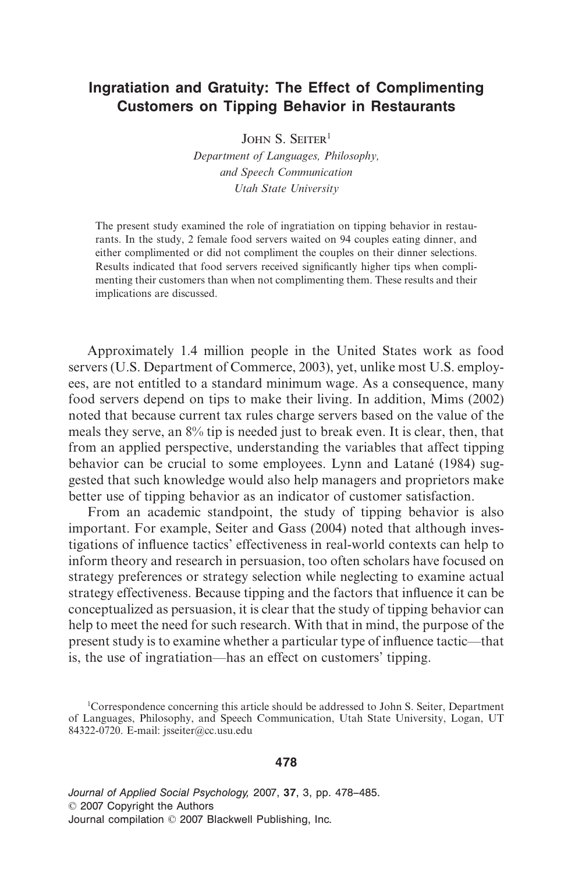# **Ingratiation and Gratuity: The Effect of Complimenting Customers on Tipping Behavior in Restaurants**

JOHN S. SEITER<sup>1</sup>

*Department of Languages, Philosophy, and Speech Communication Utah State University*

The present study examined the role of ingratiation on tipping behavior in restaurants. In the study, 2 female food servers waited on 94 couples eating dinner, and either complimented or did not compliment the couples on their dinner selections. Results indicated that food servers received significantly higher tips when complimenting their customers than when not complimenting them. These results and their implications are discussed.

Approximately 1.4 million people in the United States work as food servers (U.S. Department of Commerce, 2003), yet, unlike most U.S. employees, are not entitled to a standard minimum wage. As a consequence, many food servers depend on tips to make their living. In addition, Mims (2002) noted that because current tax rules charge servers based on the value of the meals they serve, an 8% tip is needed just to break even. It is clear, then, that from an applied perspective, understanding the variables that affect tipping behavior can be crucial to some employees. Lynn and Latané (1984) suggested that such knowledge would also help managers and proprietors make better use of tipping behavior as an indicator of customer satisfaction.

From an academic standpoint, the study of tipping behavior is also important. For example, Seiter and Gass (2004) noted that although investigations of influence tactics' effectiveness in real-world contexts can help to inform theory and research in persuasion, too often scholars have focused on strategy preferences or strategy selection while neglecting to examine actual strategy effectiveness. Because tipping and the factors that influence it can be conceptualized as persuasion, it is clear that the study of tipping behavior can help to meet the need for such research. With that in mind, the purpose of the present study is to examine whether a particular type of influence tactic—that is, the use of ingratiation—has an effect on customers' tipping.

### **478**

*Journal of Applied Social Psychology,* 2007, **37**, 3, pp. 478–485. © 2007 Copyright the Authors Journal compilation © 2007 Blackwell Publishing, Inc.

<sup>&</sup>lt;sup>1</sup>Correspondence concerning this article should be addressed to John S. Seiter, Department of Languages, Philosophy, and Speech Communication, Utah State University, Logan, UT 84322-0720. E-mail: jsseiter@cc.usu.edu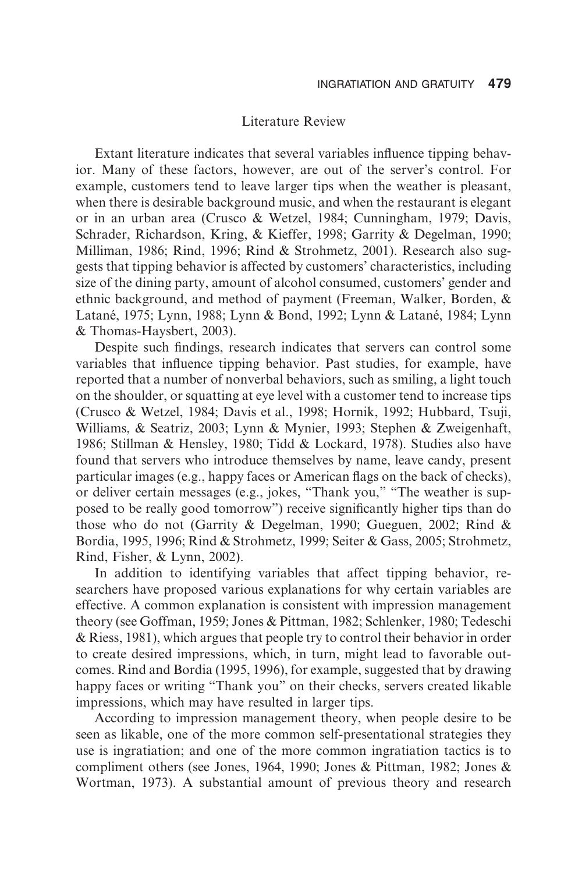#### Literature Review

Extant literature indicates that several variables influence tipping behavior. Many of these factors, however, are out of the server's control. For example, customers tend to leave larger tips when the weather is pleasant, when there is desirable background music, and when the restaurant is elegant or in an urban area (Crusco & Wetzel, 1984; Cunningham, 1979; Davis, Schrader, Richardson, Kring, & Kieffer, 1998; Garrity & Degelman, 1990; Milliman, 1986; Rind, 1996; Rind & Strohmetz, 2001). Research also suggests that tipping behavior is affected by customers' characteristics, including size of the dining party, amount of alcohol consumed, customers' gender and ethnic background, and method of payment (Freeman, Walker, Borden, & Latané, 1975; Lynn, 1988; Lynn & Bond, 1992; Lynn & Latané, 1984; Lynn & Thomas-Haysbert, 2003).

Despite such findings, research indicates that servers can control some variables that influence tipping behavior. Past studies, for example, have reported that a number of nonverbal behaviors, such as smiling, a light touch on the shoulder, or squatting at eye level with a customer tend to increase tips (Crusco & Wetzel, 1984; Davis et al., 1998; Hornik, 1992; Hubbard, Tsuji, Williams, & Seatriz, 2003; Lynn & Mynier, 1993; Stephen & Zweigenhaft, 1986; Stillman & Hensley, 1980; Tidd & Lockard, 1978). Studies also have found that servers who introduce themselves by name, leave candy, present particular images (e.g., happy faces or American flags on the back of checks), or deliver certain messages (e.g., jokes, "Thank you," "The weather is supposed to be really good tomorrow") receive significantly higher tips than do those who do not (Garrity & Degelman, 1990; Gueguen, 2002; Rind & Bordia, 1995, 1996; Rind & Strohmetz, 1999; Seiter & Gass, 2005; Strohmetz, Rind, Fisher, & Lynn, 2002).

In addition to identifying variables that affect tipping behavior, researchers have proposed various explanations for why certain variables are effective. A common explanation is consistent with impression management theory (see Goffman, 1959; Jones & Pittman, 1982; Schlenker, 1980; Tedeschi & Riess, 1981), which argues that people try to control their behavior in order to create desired impressions, which, in turn, might lead to favorable outcomes. Rind and Bordia (1995, 1996), for example, suggested that by drawing happy faces or writing "Thank you" on their checks, servers created likable impressions, which may have resulted in larger tips.

According to impression management theory, when people desire to be seen as likable, one of the more common self-presentational strategies they use is ingratiation; and one of the more common ingratiation tactics is to compliment others (see Jones, 1964, 1990; Jones & Pittman, 1982; Jones & Wortman, 1973). A substantial amount of previous theory and research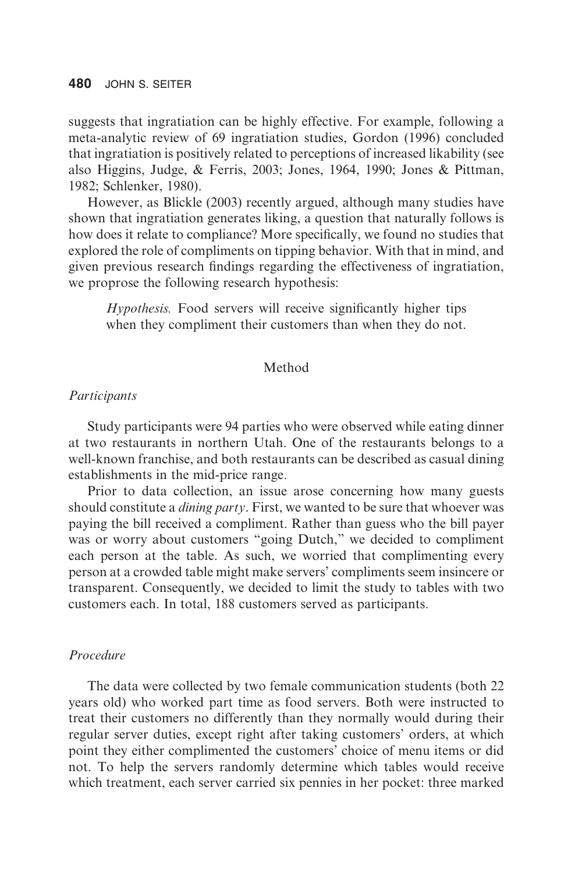suggests that ingratiation can be highly effective. For example, following a meta-analytic review of 69 ingratiation studies, Gordon (1996) concluded that ingratiation is positively related to perceptions of increased likability (see also Higgins, Judge, & Ferris, 2003; Jones, 1964, 1990; Jones & Pittman, 1982; Schlenker, 1980).

However, as Blickle (2003) recently argued, although many studies have shown that ingratiation generates liking, a question that naturally follows is how does it relate to compliance? More specifically, we found no studies that explored the role of compliments on tipping behavior. With that in mind, and given previous research findings regarding the effectiveness of ingratiation, we proprose the following research hypothesis:

*Hypothesis.* Food servers will receive significantly higher tips when they compliment their customers than when they do not.

#### Method

#### *Participants*

Study participants were 94 parties who were observed while eating dinner at two restaurants in northern Utah. One of the restaurants belongs to a well-known franchise, and both restaurants can be described as casual dining establishments in the mid-price range.

Prior to data collection, an issue arose concerning how many guests should constitute a *dining party*. First, we wanted to be sure that whoever was paying the bill received a compliment. Rather than guess who the bill payer was or worry about customers "going Dutch," we decided to compliment each person at the table. As such, we worried that complimenting every person at a crowded table might make servers' compliments seem insincere or transparent. Consequently, we decided to limit the study to tables with two customers each. In total, 188 customers served as participants.

#### *Procedure*

The data were collected by two female communication students (both 22 years old) who worked part time as food servers. Both were instructed to treat their customers no differently than they normally would during their regular server duties, except right after taking customers' orders, at which point they either complimented the customers' choice of menu items or did not. To help the servers randomly determine which tables would receive which treatment, each server carried six pennies in her pocket: three marked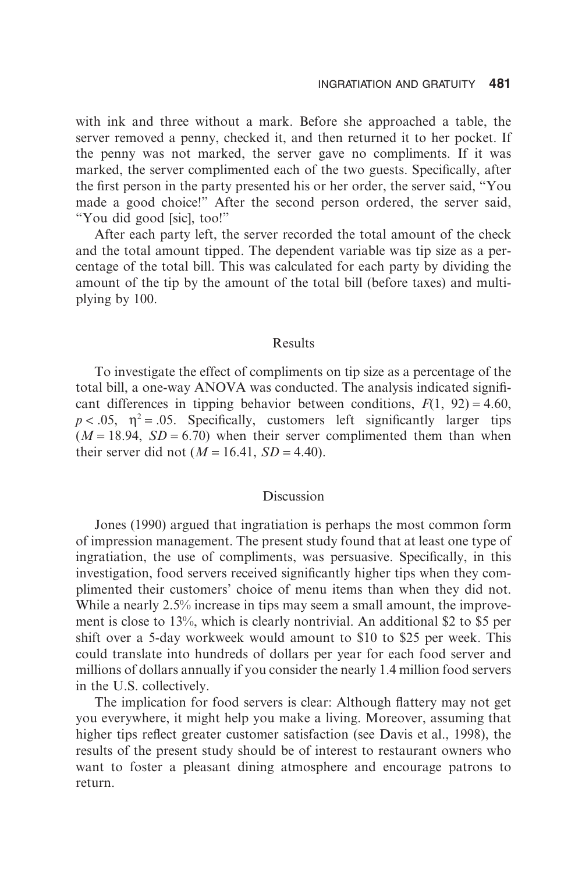with ink and three without a mark. Before she approached a table, the server removed a penny, checked it, and then returned it to her pocket. If the penny was not marked, the server gave no compliments. If it was marked, the server complimented each of the two guests. Specifically, after the first person in the party presented his or her order, the server said, "You made a good choice!" After the second person ordered, the server said, "You did good [sic], too!"

After each party left, the server recorded the total amount of the check and the total amount tipped. The dependent variable was tip size as a percentage of the total bill. This was calculated for each party by dividing the amount of the tip by the amount of the total bill (before taxes) and multiplying by 100.

#### Results

To investigate the effect of compliments on tip size as a percentage of the total bill, a one-way ANOVA was conducted. The analysis indicated significant differences in tipping behavior between conditions,  $F(1, 92) = 4.60$ ,  $p < .05$ ,  $\eta^2 = .05$ . Specifically, customers left significantly larger tips  $(M = 18.94, SD = 6.70)$  when their server complimented them than when their server did not ( $M = 16.41$ ,  $SD = 4.40$ ).

## Discussion

Jones (1990) argued that ingratiation is perhaps the most common form of impression management. The present study found that at least one type of ingratiation, the use of compliments, was persuasive. Specifically, in this investigation, food servers received significantly higher tips when they complimented their customers' choice of menu items than when they did not. While a nearly 2.5% increase in tips may seem a small amount, the improvement is close to 13%, which is clearly nontrivial. An additional \$2 to \$5 per shift over a 5-day workweek would amount to \$10 to \$25 per week. This could translate into hundreds of dollars per year for each food server and millions of dollars annually if you consider the nearly 1.4 million food servers in the U.S. collectively.

The implication for food servers is clear: Although flattery may not get you everywhere, it might help you make a living. Moreover, assuming that higher tips reflect greater customer satisfaction (see Davis et al., 1998), the results of the present study should be of interest to restaurant owners who want to foster a pleasant dining atmosphere and encourage patrons to return.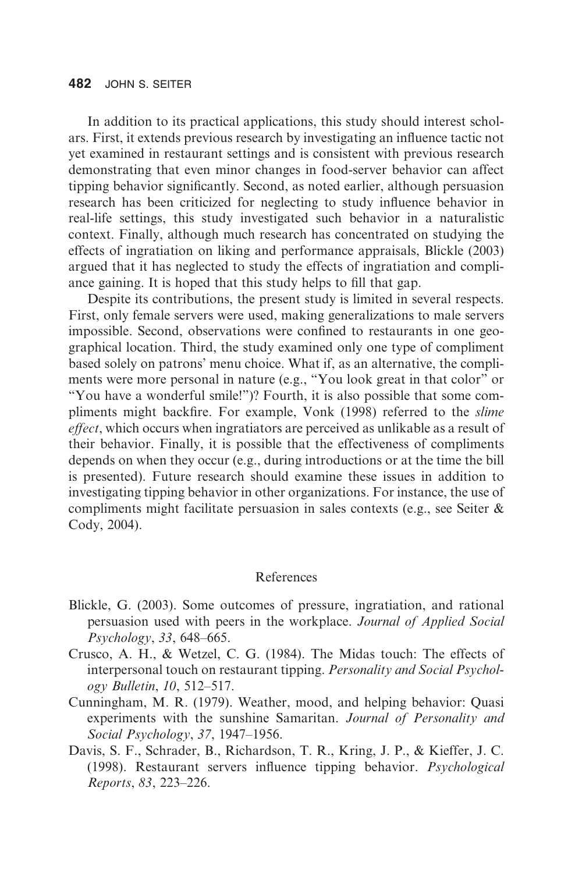#### **482** JOHN S. SEITER

In addition to its practical applications, this study should interest scholars. First, it extends previous research by investigating an influence tactic not yet examined in restaurant settings and is consistent with previous research demonstrating that even minor changes in food-server behavior can affect tipping behavior significantly. Second, as noted earlier, although persuasion research has been criticized for neglecting to study influence behavior in real-life settings, this study investigated such behavior in a naturalistic context. Finally, although much research has concentrated on studying the effects of ingratiation on liking and performance appraisals, Blickle (2003) argued that it has neglected to study the effects of ingratiation and compliance gaining. It is hoped that this study helps to fill that gap.

Despite its contributions, the present study is limited in several respects. First, only female servers were used, making generalizations to male servers impossible. Second, observations were confined to restaurants in one geographical location. Third, the study examined only one type of compliment based solely on patrons' menu choice. What if, as an alternative, the compliments were more personal in nature (e.g., "You look great in that color" or "You have a wonderful smile!")? Fourth, it is also possible that some compliments might backfire. For example, Vonk (1998) referred to the *slime effect*, which occurs when ingratiators are perceived as unlikable as a result of their behavior. Finally, it is possible that the effectiveness of compliments depends on when they occur (e.g., during introductions or at the time the bill is presented). Future research should examine these issues in addition to investigating tipping behavior in other organizations. For instance, the use of compliments might facilitate persuasion in sales contexts (e.g., see Seiter & Cody, 2004).

# References

- Blickle, G. (2003). Some outcomes of pressure, ingratiation, and rational persuasion used with peers in the workplace. *Journal of Applied Social Psychology*, *33*, 648–665.
- Crusco, A. H., & Wetzel, C. G. (1984). The Midas touch: The effects of interpersonal touch on restaurant tipping. *Personality and Social Psychology Bulletin*, *10*, 512–517.
- Cunningham, M. R. (1979). Weather, mood, and helping behavior: Quasi experiments with the sunshine Samaritan. *Journal of Personality and Social Psychology*, *37*, 1947–1956.
- Davis, S. F., Schrader, B., Richardson, T. R., Kring, J. P., & Kieffer, J. C. (1998). Restaurant servers influence tipping behavior. *Psychological Reports*, *83*, 223–226.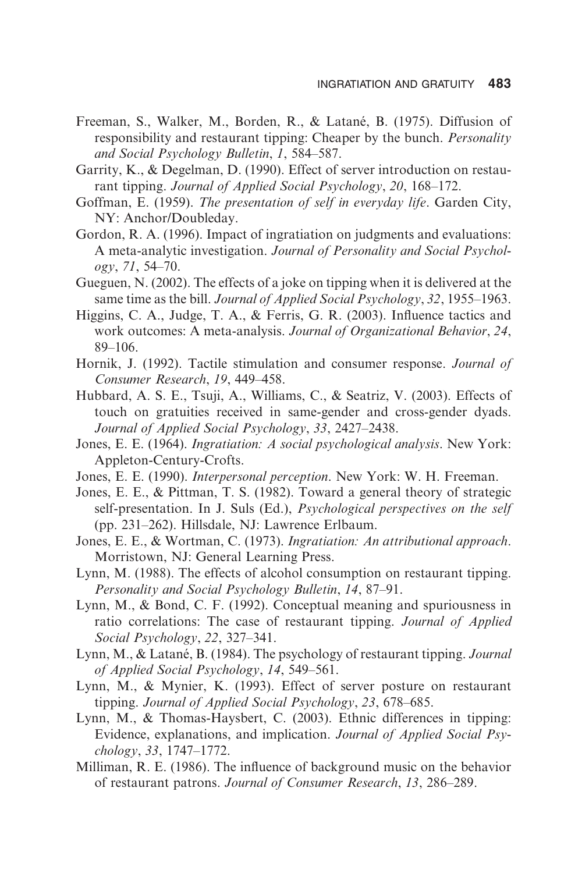- Freeman, S., Walker, M., Borden, R., & Latané, B. (1975). Diffusion of responsibility and restaurant tipping: Cheaper by the bunch. *Personality and Social Psychology Bulletin*, *1*, 584–587.
- Garrity, K., & Degelman, D. (1990). Effect of server introduction on restaurant tipping. *Journal of Applied Social Psychology*, *20*, 168–172.
- Goffman, E. (1959). *The presentation of self in everyday life*. Garden City, NY: Anchor/Doubleday.
- Gordon, R. A. (1996). Impact of ingratiation on judgments and evaluations: A meta-analytic investigation. *Journal of Personality and Social Psychology*, *71*, 54–70.
- Gueguen, N. (2002). The effects of a joke on tipping when it is delivered at the same time as the bill. *Journal of Applied Social Psychology*, *32*, 1955–1963.
- Higgins, C. A., Judge, T. A., & Ferris, G. R. (2003). Influence tactics and work outcomes: A meta-analysis. *Journal of Organizational Behavior*, *24*, 89–106.
- Hornik, J. (1992). Tactile stimulation and consumer response. *Journal of Consumer Research*, *19*, 449–458.
- Hubbard, A. S. E., Tsuji, A., Williams, C., & Seatriz, V. (2003). Effects of touch on gratuities received in same-gender and cross-gender dyads. *Journal of Applied Social Psychology*, *33*, 2427–2438.
- Jones, E. E. (1964). *Ingratiation: A social psychological analysis*. New York: Appleton-Century-Crofts.
- Jones, E. E. (1990). *Interpersonal perception*. New York: W. H. Freeman.
- Jones, E. E., & Pittman, T. S. (1982). Toward a general theory of strategic self-presentation. In J. Suls (Ed.), *Psychological perspectives on the self* (pp. 231–262). Hillsdale, NJ: Lawrence Erlbaum.
- Jones, E. E., & Wortman, C. (1973). *Ingratiation: An attributional approach*. Morristown, NJ: General Learning Press.
- Lynn, M. (1988). The effects of alcohol consumption on restaurant tipping. *Personality and Social Psychology Bulletin*, *14*, 87–91.
- Lynn, M., & Bond, C. F. (1992). Conceptual meaning and spuriousness in ratio correlations: The case of restaurant tipping. *Journal of Applied Social Psychology*, *22*, 327–341.
- Lynn, M., & Latané, B. (1984). The psychology of restaurant tipping. *Journal of Applied Social Psychology*, *14*, 549–561.
- Lynn, M., & Mynier, K. (1993). Effect of server posture on restaurant tipping. *Journal of Applied Social Psychology*, *23*, 678–685.
- Lynn, M., & Thomas-Haysbert, C. (2003). Ethnic differences in tipping: Evidence, explanations, and implication. *Journal of Applied Social Psychology*, *33*, 1747–1772.
- Milliman, R. E. (1986). The influence of background music on the behavior of restaurant patrons. *Journal of Consumer Research*, *13*, 286–289.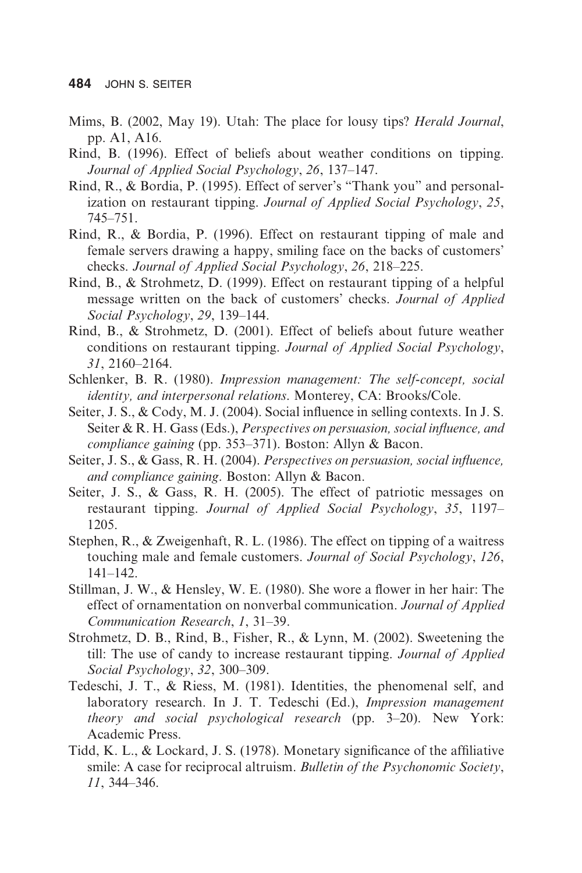- Mims, B. (2002, May 19). Utah: The place for lousy tips? *Herald Journal*, pp. A1, A16.
- Rind, B. (1996). Effect of beliefs about weather conditions on tipping. *Journal of Applied Social Psychology*, *26*, 137–147.
- Rind, R., & Bordia, P. (1995). Effect of server's "Thank you" and personalization on restaurant tipping. *Journal of Applied Social Psychology*, *25*, 745–751.
- Rind, R., & Bordia, P. (1996). Effect on restaurant tipping of male and female servers drawing a happy, smiling face on the backs of customers' checks. *Journal of Applied Social Psychology*, *26*, 218–225.
- Rind, B., & Strohmetz, D. (1999). Effect on restaurant tipping of a helpful message written on the back of customers' checks. *Journal of Applied Social Psychology*, *29*, 139–144.
- Rind, B., & Strohmetz, D. (2001). Effect of beliefs about future weather conditions on restaurant tipping. *Journal of Applied Social Psychology*, *31*, 2160–2164.
- Schlenker, B. R. (1980). *Impression management: The self-concept, social identity, and interpersonal relations*. Monterey, CA: Brooks/Cole.
- Seiter, J. S., & Cody, M. J. (2004). Social influence in selling contexts. In J. S. Seiter & R. H. Gass (Eds.), *Perspectives on persuasion, social influence, and compliance gaining* (pp. 353–371). Boston: Allyn & Bacon.
- Seiter, J. S., & Gass, R. H. (2004). *Perspectives on persuasion, social influence, and compliance gaining*. Boston: Allyn & Bacon.
- Seiter, J. S., & Gass, R. H. (2005). The effect of patriotic messages on restaurant tipping. *Journal of Applied Social Psychology*, *35*, 1197– 1205.
- Stephen, R., & Zweigenhaft, R. L. (1986). The effect on tipping of a waitress touching male and female customers. *Journal of Social Psychology*, *126*, 141–142.
- Stillman, J. W., & Hensley, W. E. (1980). She wore a flower in her hair: The effect of ornamentation on nonverbal communication. *Journal of Applied Communication Research*, *1*, 31–39.
- Strohmetz, D. B., Rind, B., Fisher, R., & Lynn, M. (2002). Sweetening the till: The use of candy to increase restaurant tipping. *Journal of Applied Social Psychology*, *32*, 300–309.
- Tedeschi, J. T., & Riess, M. (1981). Identities, the phenomenal self, and laboratory research. In J. T. Tedeschi (Ed.), *Impression management theory and social psychological research* (pp. 3–20). New York: Academic Press.
- Tidd, K. L., & Lockard, J. S. (1978). Monetary significance of the affiliative smile: A case for reciprocal altruism. *Bulletin of the Psychonomic Society*, *11*, 344–346.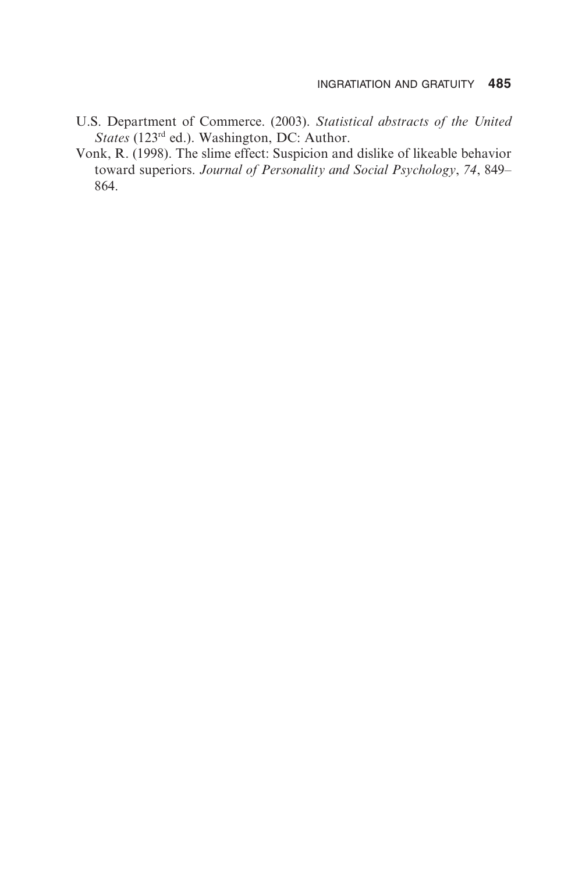- U.S. Department of Commerce. (2003). *Statistical abstracts of the United States* (123rd ed.). Washington, DC: Author.
- Vonk, R. (1998). The slime effect: Suspicion and dislike of likeable behavior toward superiors. *Journal of Personality and Social Psychology*, *74*, 849– 864.